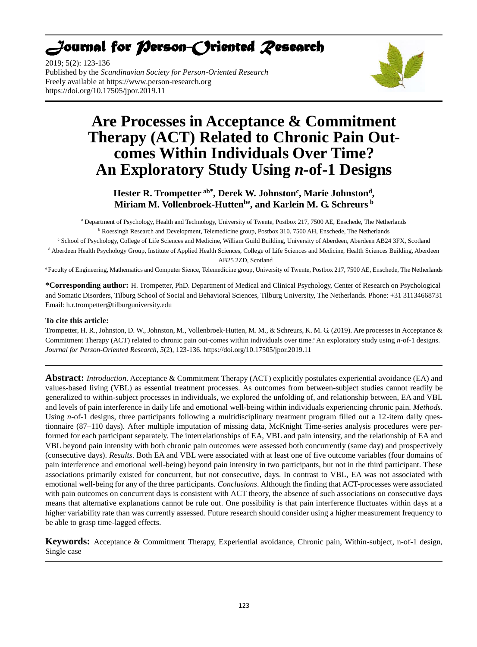# *Journal for Person-Oriented Research*

2019; 5(2): 123-136 Published by the *Scandinavian Society for Person-Oriented Research* Freely available at [https://www.person-research.org](https://www.person-research.org/) https://doi.org/10.17505/jpor.2019.11



# **Are Processes in Acceptance & Commitment Therapy (ACT) Related to Chronic Pain Outcomes Within Individuals Over Time? An Exploratory Study Using** *n***-of-1 Designs**

# **Hester R. Trompetter ab\*, Derek W. Johnston<sup>c</sup> , Marie Johnston<sup>d</sup> , Miriam M. Vollenbroek-Huttenbe, and Karlein M. G. Schreurs <sup>b</sup>**

a Department of Psychology, Health and Technology, University of Twente, Postbox 217, 7500 AE, Enschede, The Netherlands **b Roessingh Research and Development, Telemedicine group, Postbox 310, 7500 AH, Enschede, The Netherlands** <sup>c</sup> School of Psychology, College of Life Sciences and Medicine, William Guild Building, University of Aberdeen, Aberdeen AB24 3FX, Scotland

<sup>d</sup> Aberdeen Health Psychology Group, Institute of Applied Health Sciences, College of Life Sciences and Medicine, Health Sciences Building, Aberdeen AB25 2ZD, Scotland

<sup>e</sup>Faculty of Engineering, Mathematics and Computer Sience, Telemedicine group, University of Twente, Postbox 217, 7500 AE, Enschede, The Netherlands

**\*Corresponding author:** H. Trompetter, PhD. Department of Medical and Clinical Psychology, Center of Research on Psychological and Somatic Disorders, Tilburg School of Social and Behavioral Sciences, Tilburg University, The Netherlands. Phone: +31 31134668731 Email: h.r.trompetter@tilburguniversity.edu

# **To cite this article:**

Trompetter, H. R., Johnston, D. W., Johnston, M., Vollenbroek-Hutten, M. M., & Schreurs, K. M. G. (2019). Are processes in Acceptance & Commitment Therapy (ACT) related to chronic pain out-comes within individuals over time? An exploratory study using *n*-of-1 designs. *Journal for Person-Oriented Research, 5*(2), 123-136. https://doi.org/10.17505/jpor.2019.11

**Abstract:** *Introduction*. Acceptance & Commitment Therapy (ACT) explicitly postulates experiential avoidance (EA) and values-based living (VBL) as essential treatment processes. As outcomes from between-subject studies cannot readily be generalized to within-subject processes in individuals, we explored the unfolding of, and relationship between, EA and VBL and levels of pain interference in daily life and emotional well-being within individuals experiencing chronic pain. *Methods*. Using *n*-of-1 designs, three participants following a multidisciplinary treatment program filled out a 12-item daily questionnaire (87–110 days). After multiple imputation of missing data, McKnight Time-series analysis procedures were performed for each participant separately. The interrelationships of EA, VBL and pain intensity, and the relationship of EA and VBL beyond pain intensity with both chronic pain outcomes were assessed both concurrently (same day) and prospectively (consecutive days). *Results*. Both EA and VBL were associated with at least one of five outcome variables (four domains of pain interference and emotional well-being) beyond pain intensity in two participants, but not in the third participant. These associations primarily existed for concurrent, but not consecutive, days. In contrast to VBL, EA was not associated with emotional well-being for any of the three participants. *Conclusions*. Although the finding that ACT-processes were associated with pain outcomes on concurrent days is consistent with ACT theory, the absence of such associations on consecutive days means that alternative explanations cannot be rule out. One possibility is that pain interference fluctuates within days at a higher variability rate than was currently assessed. Future research should consider using a higher measurement frequency to be able to grasp time-lagged effects.

**Keywords:** Acceptance & Commitment Therapy, Experiential avoidance, Chronic pain, Within-subject, n-of-1 design, Single case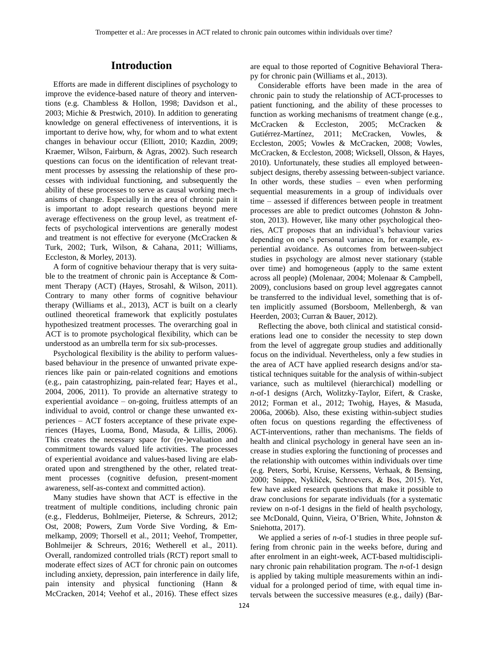# **Introduction**

Efforts are made in different disciplines of psychology to improve the evidence-based nature of theory and interventions (e.g. Chambless & Hollon, 1998; Davidson et al., 2003; Michie & Prestwich, 2010). In addition to generating knowledge on general effectiveness of interventions, it is important to derive how, why, for whom and to what extent changes in behaviour occur (Elliott, 2010; Kazdin, 2009; Kraemer, Wilson, Fairburn, & Agras, 2002). Such research questions can focus on the identification of relevant treatment processes by assessing the relationship of these processes with individual functioning, and subsequently the ability of these processes to serve as causal working mechanisms of change. Especially in the area of chronic pain it is important to adopt research questions beyond mere average effectiveness on the group level, as treatment effects of psychological interventions are generally modest and treatment is not effective for everyone (McCracken & Turk, 2002; Turk, Wilson, & Cahana, 2011; Williams, Eccleston, & Morley, 2013).

A form of cognitive behaviour therapy that is very suitable to the treatment of chronic pain is Acceptance & Comment Therapy (ACT) (Hayes, Strosahl, & Wilson, 2011). Contrary to many other forms of cognitive behaviour therapy (Williams et al., 2013), ACT is built on a clearly outlined theoretical framework that explicitly postulates hypothesized treatment processes. The overarching goal in ACT is to promote psychological flexibility, which can be understood as an umbrella term for six sub-processes.

Psychological flexibility is the ability to perform valuesbased behaviour in the presence of unwanted private experiences like pain or pain-related cognitions and emotions (e.g., pain catastrophizing, pain-related fear; Hayes et al., 2004, 2006, 2011). To provide an alternative strategy to experiential avoidance – on-going, fruitless attempts of an individual to avoid, control or change these unwanted experiences – ACT fosters acceptance of these private experiences (Hayes, Luoma, Bond, Masuda, & Lillis, 2006). This creates the necessary space for (re-)evaluation and commitment towards valued life activities. The processes of experiential avoidance and values-based living are elaborated upon and strengthened by the other, related treatment processes (cognitive defusion, present-moment awareness, self-as-context and committed action).

Many studies have shown that ACT is effective in the treatment of multiple conditions, including chronic pain (e.g., Fledderus, Bohlmeijer, Pieterse, & Schreurs, 2012; Ost, 2008; Powers, Zum Vorde Sive Vording, & Emmelkamp, 2009; Thorsell et al., 2011; Veehof, Trompetter, Bohlmeijer & Schreurs, 2016; Wetherell et al., 2011). Overall, randomized controlled trials (RCT) report small to moderate effect sizes of ACT for chronic pain on outcomes including anxiety, depression, pain interference in daily life, pain intensity and physical functioning (Hann & McCracken, 2014; Veehof et al., 2016). These effect sizes

are equal to those reported of Cognitive Behavioral Therapy for chronic pain (Williams et al., 2013).

Considerable efforts have been made in the area of chronic pain to study the relationship of ACT-processes to patient functioning, and the ability of these processes to function as working mechanisms of treatment change (e.g., McCracken & Eccleston, 2005; McCracken & Gutiérrez-Martínez, 2011; McCracken, Vowles, & Eccleston, 2005; Vowles & McCracken, 2008; Vowles, McCracken, & Eccleston, 2008; Wicksell, Olsson, & Hayes, 2010). Unfortunately, these studies all employed betweensubject designs, thereby assessing between-subject variance. In other words, these studies – even when performing sequential measurements in a group of individuals over time – assessed if differences between people in treatment processes are able to predict outcomes (Johnston & Johnston, 2013). However, like many other psychological theories, ACT proposes that an individual's behaviour varies depending on one's personal variance in, for example, experiential avoidance. As outcomes from between-subject studies in psychology are almost never stationary (stable over time) and homogeneous (apply to the same extent across all people) (Molenaar, 2004; Molenaar & Campbell, 2009), conclusions based on group level aggregates cannot be transferred to the individual level, something that is often implicitly assumed (Borsboom, Mellenbergh, & van Heerden, 2003; Curran & Bauer, 2012).

Reflecting the above, both clinical and statistical considerations lead one to consider the necessity to step down from the level of aggregate group studies and additionally focus on the individual. Nevertheless, only a few studies in the area of ACT have applied research designs and/or statistical techniques suitable for the analysis of within-subject variance, such as multilevel (hierarchical) modelling or *n*-of-1 designs (Arch, Wolitzky-Taylor, Eifert, & Craske, 2012; Forman et al., 2012; Twohig, Hayes, & Masuda, 2006a, 2006b). Also, these existing within-subject studies often focus on questions regarding the effectiveness of ACT-interventions, rather than mechanisms. The fields of health and clinical psychology in general have seen an increase in studies exploring the functioning of processes and the relationship with outcomes within individuals over time (e.g. Peters, Sorbi, Kruise, Kerssens, Verhaak, & Bensing, 2000; Snippe, Nyklíček, Schroevers, & Bos, 2015). Yet, few have asked research questions that make it possible to draw conclusions for separate individuals (for a systematic review on n-of-1 designs in the field of health psychology, see McDonald, Quinn, Vieira, O'Brien, White, Johnston & Sniehotta, 2017).

We applied a series of *n*-of-1 studies in three people suffering from chronic pain in the weeks before, during and after enrolment in an eight-week, ACT-based multidisciplinary chronic pain rehabilitation program. The *n*-of-1 design is applied by taking multiple measurements within an individual for a prolonged period of time, with equal time intervals between the successive measures (e.g., daily) (Bar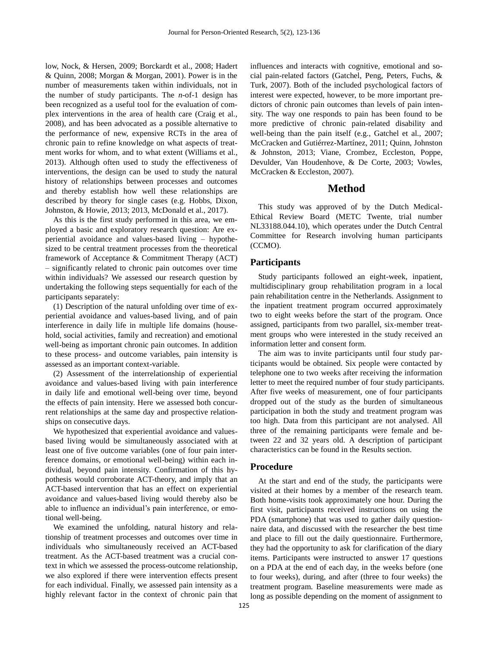low, Nock, & Hersen, 2009; Borckardt et al., 2008; Hadert & Quinn, 2008; Morgan & Morgan, 2001). Power is in the number of measurements taken within individuals, not in the number of study participants. The *n*-of-1 design has been recognized as a useful tool for the evaluation of complex interventions in the area of health care (Craig et al., 2008), and has been advocated as a possible alternative to the performance of new, expensive RCTs in the area of chronic pain to refine knowledge on what aspects of treatment works for whom, and to what extent (Williams et al., 2013). Although often used to study the effectiveness of interventions, the design can be used to study the natural history of relationships between processes and outcomes and thereby establish how well these relationships are described by theory for single cases (e.g. Hobbs, Dixon, Johnston, & Howie, 2013; 2013, McDonald et al., 2017).

As this is the first study performed in this area, we employed a basic and exploratory research question: Are experiential avoidance and values-based living – hypothesized to be central treatment processes from the theoretical framework of Acceptance & Commitment Therapy (ACT) – significantly related to chronic pain outcomes over time within individuals? We assessed our research question by undertaking the following steps sequentially for each of the participants separately:

(1) Description of the natural unfolding over time of experiential avoidance and values-based living, and of pain interference in daily life in multiple life domains (household, social activities, family and recreation) and emotional well-being as important chronic pain outcomes. In addition to these process- and outcome variables, pain intensity is assessed as an important context-variable.

(2) Assessment of the interrelationship of experiential avoidance and values-based living with pain interference in daily life and emotional well-being over time, beyond the effects of pain intensity. Here we assessed both concurrent relationships at the same day and prospective relationships on consecutive days.

We hypothesized that experiential avoidance and valuesbased living would be simultaneously associated with at least one of five outcome variables (one of four pain interference domains, or emotional well-being) within each individual, beyond pain intensity. Confirmation of this hypothesis would corroborate ACT-theory, and imply that an ACT-based intervention that has an effect on experiential avoidance and values-based living would thereby also be able to influence an individual's pain interference, or emotional well-being.

We examined the unfolding, natural history and relationship of treatment processes and outcomes over time in individuals who simultaneously received an ACT-based treatment. As the ACT-based treatment was a crucial context in which we assessed the process-outcome relationship, we also explored if there were intervention effects present for each individual. Finally, we assessed pain intensity as a highly relevant factor in the context of chronic pain that

influences and interacts with cognitive, emotional and social pain-related factors (Gatchel, Peng, Peters, Fuchs, & Turk, 2007). Both of the included psychological factors of interest were expected, however, to be more important predictors of chronic pain outcomes than levels of pain intensity. The way one responds to pain has been found to be more predictive of chronic pain-related disability and well-being than the pain itself (e.g., Gatchel et al., 2007; McCracken and Gutiérrez-Martínez, 2011; Quinn, Johnston & Johnston, 2013; Viane, Crombez, Eccleston, Poppe, Devulder, Van Houdenhove, & De Corte, 2003; Vowles, McCracken & Eccleston, 2007).

# **Method**

This study was approved of by the Dutch Medical-Ethical Review Board (METC Twente, trial number NL33188.044.10), which operates under the Dutch Central Committee for Research involving human participants (CCMO).

# **Participants**

Study participants followed an eight-week, inpatient, multidisciplinary group rehabilitation program in a local pain rehabilitation centre in the Netherlands. Assignment to the inpatient treatment program occurred approximately two to eight weeks before the start of the program. Once assigned, participants from two parallel, six-member treatment groups who were interested in the study received an information letter and consent form.

The aim was to invite participants until four study participants would be obtained. Six people were contacted by telephone one to two weeks after receiving the information letter to meet the required number of four study participants. After five weeks of measurement, one of four participants dropped out of the study as the burden of simultaneous participation in both the study and treatment program was too high. Data from this participant are not analysed. All three of the remaining participants were female and between 22 and 32 years old. A description of participant characteristics can be found in the Results section.

### **Procedure**

At the start and end of the study, the participants were visited at their homes by a member of the research team. Both home-visits took approximately one hour. During the first visit, participants received instructions on using the PDA (smartphone) that was used to gather daily questionnaire data, and discussed with the researcher the best time and place to fill out the daily questionnaire. Furthermore, they had the opportunity to ask for clarification of the diary items. Participants were instructed to answer 17 questions on a PDA at the end of each day, in the weeks before (one to four weeks), during, and after (three to four weeks) the treatment program. Baseline measurements were made as long as possible depending on the moment of assignment to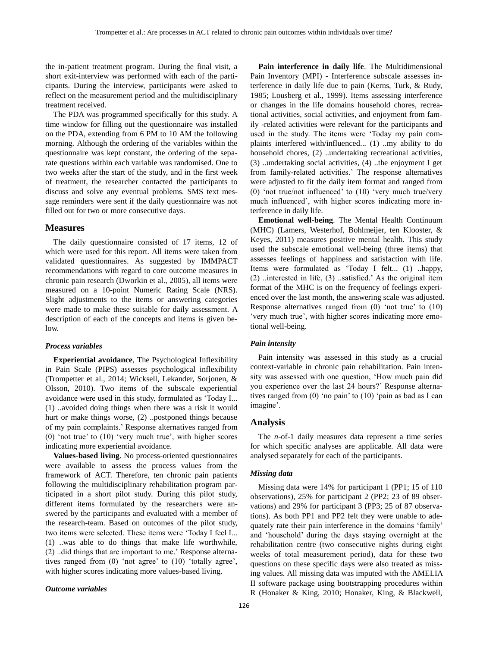the in-patient treatment program. During the final visit, a short exit-interview was performed with each of the participants. During the interview, participants were asked to reflect on the measurement period and the multidisciplinary treatment received.

The PDA was programmed specifically for this study. A time window for filling out the questionnaire was installed on the PDA, extending from 6 PM to 10 AM the following morning. Although the ordering of the variables within the questionnaire was kept constant, the ordering of the separate questions within each variable was randomised. One to two weeks after the start of the study, and in the first week of treatment, the researcher contacted the participants to discuss and solve any eventual problems. SMS text message reminders were sent if the daily questionnaire was not filled out for two or more consecutive days.

#### **Measures**

The daily questionnaire consisted of 17 items, 12 of which were used for this report. All items were taken from validated questionnaires. As suggested by IMMPACT recommendations with regard to core outcome measures in chronic pain research (Dworkin et al., 2005), all items were measured on a 10-point Numeric Rating Scale (NRS). Slight adjustments to the items or answering categories were made to make these suitable for daily assessment. A description of each of the concepts and items is given below.

#### *Process variables*

**Experiential avoidance**, The Psychological Inflexibility in Pain Scale (PIPS) assesses psychological inflexibility (Trompetter et al., 2014; Wicksell, Lekander, Sorjonen, & Olsson, 2010). Two items of the subscale experiential avoidance were used in this study, formulated as 'Today I... (1) ..avoided doing things when there was a risk it would hurt or make things worse, (2) ..postponed things because of my pain complaints.' Response alternatives ranged from (0) 'not true' to (10) 'very much true', with higher scores indicating more experiential avoidance.

**Values-based living**. No process-oriented questionnaires were available to assess the process values from the framework of ACT. Therefore, ten chronic pain patients following the multidisciplinary rehabilitation program participated in a short pilot study. During this pilot study, different items formulated by the researchers were answered by the participants and evaluated with a member of the research-team. Based on outcomes of the pilot study, two items were selected. These items were 'Today I feel I... (1) ..was able to do things that make life worthwhile, (2) ..did things that are important to me.' Response alternatives ranged from (0) 'not agree' to (10) 'totally agree', with higher scores indicating more values-based living.

#### *Outcome variables*

**Pain interference in daily life**. The Multidimensional Pain Inventory (MPI) - Interference subscale assesses interference in daily life due to pain (Kerns, Turk, & Rudy, 1985; Lousberg et al., 1999). Items assessing interference or changes in the life domains household chores, recreational activities, social activities, and enjoyment from family -related activities were relevant for the participants and used in the study. The items were 'Today my pain complaints interfered with/influenced... (1) ..my ability to do household chores, (2) ..undertaking recreational activities, (3) ..undertaking social activities, (4) ..the enjoyment I get from family-related activities.' The response alternatives were adjusted to fit the daily item format and ranged from (0) 'not true/not influenced' to (10) 'very much true/very much influenced', with higher scores indicating more interference in daily life.

**Emotional well-being**. The Mental Health Continuum (MHC) (Lamers, Westerhof, Bohlmeijer, ten Klooster, & Keyes, 2011) measures positive mental health. This study used the subscale emotional well-being (three items) that assesses feelings of happiness and satisfaction with life. Items were formulated as 'Today I felt... (1) ..happy,  $(2)$  ..interested in life,  $(3)$  ..satisfied.' As the original item format of the MHC is on the frequency of feelings experienced over the last month, the answering scale was adjusted. Response alternatives ranged from (0) 'not true' to (10) 'very much true', with higher scores indicating more emotional well-being.

#### *Pain intensity*

Pain intensity was assessed in this study as a crucial context-variable in chronic pain rehabilitation. Pain intensity was assessed with one question, 'How much pain did you experience over the last 24 hours?' Response alternatives ranged from (0) 'no pain' to (10) 'pain as bad as I can imagine'.

## **Analysis**

The *n*-of-1 daily measures data represent a time series for which specific analyses are applicable. All data were analysed separately for each of the participants.

#### *Missing data*

Missing data were 14% for participant 1 (PP1; 15 of 110 observations), 25% for participant 2 (PP2; 23 of 89 observations) and 29% for participant 3 (PP3; 25 of 87 observations). As both PP1 and PP2 felt they were unable to adequately rate their pain interference in the domains 'family' and 'household' during the days staying overnight at the rehabilitation centre (two consecutive nights during eight weeks of total measurement period), data for these two questions on these specific days were also treated as missing values. All missing data was imputed with the AMELIA II software package using bootstrapping procedures within R (Honaker & King, 2010; Honaker, King, & Blackwell,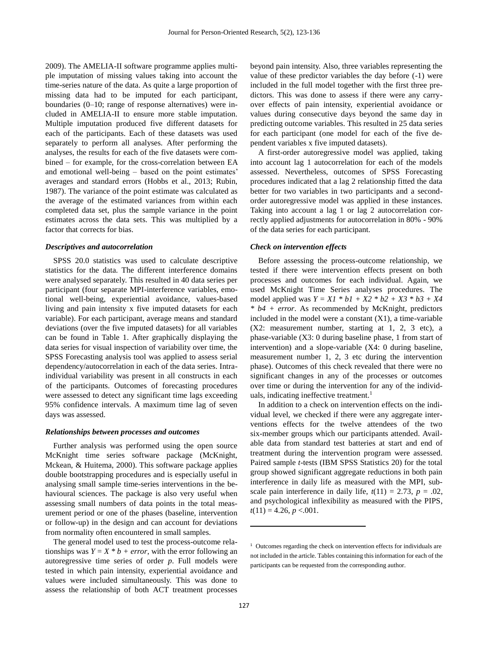2009). The AMELIA-II software programme applies multiple imputation of missing values taking into account the time-series nature of the data. As quite a large proportion of missing data had to be imputed for each participant, boundaries (0–10; range of response alternatives) were included in AMELIA-II to ensure more stable imputation. Multiple imputation produced five different datasets for each of the participants. Each of these datasets was used separately to perform all analyses. After performing the analyses, the results for each of the five datasets were combined – for example, for the cross-correlation between EA and emotional well-being – based on the point estimates' averages and standard errors (Hobbs et al., 2013; Rubin, 1987). The variance of the point estimate was calculated as the average of the estimated variances from within each completed data set, plus the sample variance in the point estimates across the data sets. This was multiplied by a factor that corrects for bias.

#### *Descriptives and autocorrelation*

SPSS 20.0 statistics was used to calculate descriptive statistics for the data. The different interference domains were analysed separately. This resulted in 40 data series per participant (four separate MPI-interference variables, emotional well-being, experiential avoidance, values-based living and pain intensity x five imputed datasets for each variable). For each participant, average means and standard deviations (over the five imputed datasets) for all variables can be found in Table 1. After graphically displaying the data series for visual inspection of variability over time, the SPSS Forecasting analysis tool was applied to assess serial dependency/autocorrelation in each of the data series. Intraindividual variability was present in all constructs in each of the participants. Outcomes of forecasting procedures were assessed to detect any significant time lags exceeding 95% confidence intervals. A maximum time lag of seven days was assessed.

#### *Relationships between processes and outcomes*

Further analysis was performed using the open source McKnight time series software package (McKnight, Mckean, & Huitema, 2000). This software package applies double bootstrapping procedures and is especially useful in analysing small sample time-series interventions in the behavioural sciences. The package is also very useful when assessing small numbers of data points in the total measurement period or one of the phases (baseline, intervention or follow-up) in the design and can account for deviations from normality often encountered in small samples.

The general model used to test the process-outcome relationships was  $Y = X * b + error$ , with the error following an autoregressive time series of order *p*. Full models were tested in which pain intensity, experiential avoidance and values were included simultaneously. This was done to assess the relationship of both ACT treatment processes beyond pain intensity. Also, three variables representing the value of these predictor variables the day before (-1) were included in the full model together with the first three predictors. This was done to assess if there were any carryover effects of pain intensity, experiential avoidance or values during consecutive days beyond the same day in predicting outcome variables. This resulted in 25 data series for each participant (one model for each of the five dependent variables x five imputed datasets).

A first-order autoregressive model was applied, taking into account lag 1 autocorrelation for each of the models assessed. Nevertheless, outcomes of SPSS Forecasting procedures indicated that a lag 2 relationship fitted the data better for two variables in two participants and a secondorder autoregressive model was applied in these instances. Taking into account a lag 1 or lag 2 autocorrelation correctly applied adjustments for autocorrelation in 80% - 90% of the data series for each participant.

#### *Check on intervention effects*

Before assessing the process-outcome relationship, we tested if there were intervention effects present on both processes and outcomes for each individual. Again, we used McKnight Time Series analyses procedures. The model applied was  $Y = XI * b1 + X2 * b2 + X3 * b3 + X4$ *\* b4 + error*. As recommended by McKnight, predictors included in the model were a constant  $(X1)$ , a time-variable (X2: measurement number, starting at 1, 2, 3 etc), a phase-variable (X3: 0 during baseline phase, 1 from start of intervention) and a slope-variable (X4: 0 during baseline, measurement number 1, 2, 3 etc during the intervention phase). Outcomes of this check revealed that there were no significant changes in any of the processes or outcomes over time or during the intervention for any of the individuals, indicating ineffective treatment.<sup>1</sup>

In addition to a check on intervention effects on the individual level, we checked if there were any aggregate interventions effects for the twelve attendees of the two six-member groups which our participants attended. Available data from standard test batteries at start and end of treatment during the intervention program were assessed. Paired sample *t*-tests (IBM SPSS Statistics 20) for the total group showed significant aggregate reductions in both pain interference in daily life as measured with the MPI, subscale pain interference in daily life,  $t(11) = 2.73$ ,  $p = .02$ , and psychological inflexibility as measured with the PIPS,  $t(11) = 4.26, p < .001.$ 

 $\overline{a}$ 

<sup>&</sup>lt;sup>1</sup> Outcomes regarding the check on intervention effects for individuals are not included in the article. Tables containing this information for each of the participants can be requested from the corresponding author.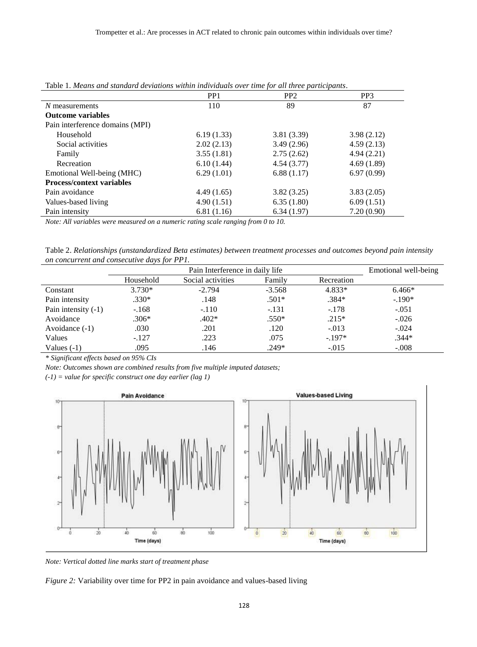| <b>Tavic 1. means and sumatra deviditions within matvianuts over time for an inree participants.</b> |                 |                 |                 |  |  |  |
|------------------------------------------------------------------------------------------------------|-----------------|-----------------|-----------------|--|--|--|
|                                                                                                      | PP <sub>1</sub> | PP <sub>2</sub> | PP <sub>3</sub> |  |  |  |
| $N$ measurements                                                                                     | 110             | 89              | 87              |  |  |  |
| <b>Outcome variables</b>                                                                             |                 |                 |                 |  |  |  |
| Pain interference domains (MPI)                                                                      |                 |                 |                 |  |  |  |
| Household                                                                                            | 6.19(1.33)      | 3.81(3.39)      | 3.98(2.12)      |  |  |  |
| Social activities                                                                                    | 2.02(2.13)      | 3.49(2.96)      | 4.59(2.13)      |  |  |  |
| Family                                                                                               | 3.55(1.81)      | 2.75(2.62)      | 4.94(2.21)      |  |  |  |
| Recreation                                                                                           | 6.10(1.44)      | 4.54(3.77)      | 4.69(1.89)      |  |  |  |
| Emotional Well-being (MHC)                                                                           | 6.29(1.01)      | 6.88(1.17)      | 6.97(0.99)      |  |  |  |
| <b>Process/context variables</b>                                                                     |                 |                 |                 |  |  |  |
| Pain avoidance                                                                                       | 4.49(1.65)      | 3.82(3.25)      | 3.83(2.05)      |  |  |  |
| Values-based living                                                                                  | 4.90(1.51)      | 6.35(1.80)      | 6.09(1.51)      |  |  |  |
| Pain intensity                                                                                       | 6.81(1.16)      | 6.34(1.97)      | 7.20(0.90)      |  |  |  |
|                                                                                                      |                 |                 |                 |  |  |  |

Table 1. *Means and standard deviations within individuals over time for all three participants*.

*Note: All variables were measured on a numeric rating scale ranging from 0 to 10.*

Table 2. *Relationships (unstandardized Beta estimates) between treatment processes and outcomes beyond pain intensity on concurrent and consecutive days for PP1.*

|                       | Pain Interference in daily life |                   |          |            | Emotional well-being |
|-----------------------|---------------------------------|-------------------|----------|------------|----------------------|
|                       | Household                       | Social activities | Family   | Recreation |                      |
| Constant              | $3.730*$                        | $-2.794$          | $-3.568$ | $4.833*$   | $6.466*$             |
| Pain intensity        | $.330*$                         | .148              | $.501*$  | $.384*$    | $-.190*$             |
| Pain intensity $(-1)$ | $-168$                          | $-.110$           | $-.131$  | $-.178$    | $-.051$              |
| Avoidance             | $.306*$                         | $.402*$           | $.550*$  | $.215*$    | $-.026$              |
| Avoidance $(-1)$      | .030                            | .201              | .120     | $-.013$    | $-.024$              |
| Values                | $-.127$                         | .223              | .075     | $-197*$    | $.344*$              |
| Values $(-1)$         | .095                            | .146              | $.249*$  | $-.015$    | $-.008$              |

*\* Significant effects based on 95% CIs* 

*Note: Outcomes shown are combined results from five multiple imputed datasets;* 

*(-1) = value for specific construct one day earlier (lag 1)*



*Note: Vertical dotted line marks start of treatment phase*

*Figure 2:* Variability over time for PP2 in pain avoidance and values-based living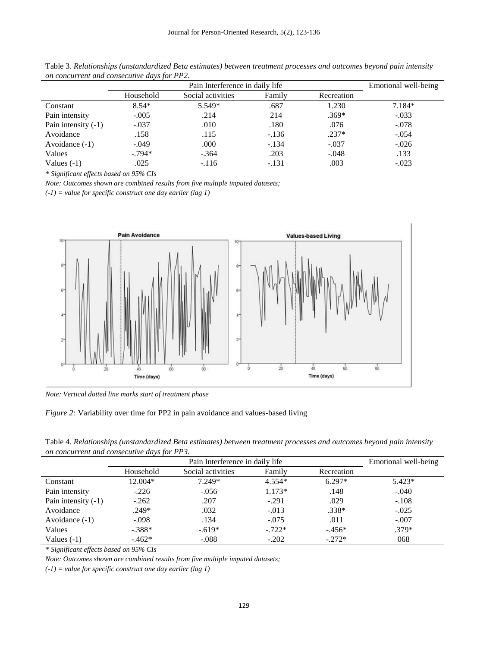| $\frac{1}{2}$ . The set of the correct correct control to the set of $\frac{1}{2}$ . The set of $\frac{1}{2}$ |                                 |                   |         |            |                      |
|---------------------------------------------------------------------------------------------------------------|---------------------------------|-------------------|---------|------------|----------------------|
|                                                                                                               | Pain Interference in daily life |                   |         |            | Emotional well-being |
|                                                                                                               | Household                       | Social activities | Family  | Recreation |                      |
| Constant                                                                                                      | $8.54*$                         | 5.549*            | .687    | 1.230      | $7.184*$             |
| Pain intensity                                                                                                | $-.005$                         | .214              | 214     | $.369*$    | $-.033$              |
| Pain intensity $(-1)$                                                                                         | $-.037$                         | .010              | .180    | .076       | $-.078$              |
| Avoidance                                                                                                     | .158                            | .115              | $-.136$ | $.237*$    | $-.054$              |
| Avoidance $(-1)$                                                                                              | $-.049$                         | .000              | $-.134$ | $-.037$    | $-.026$              |
| Values                                                                                                        | $-.794*$                        | $-.364$           | .203    | $-.048$    | .133                 |
| Values $(-1)$                                                                                                 | .025                            | $-.116$           | $-.131$ | .003       | $-.023$              |

Table 3. *Relationships (unstandardized Beta estimates) between treatment processes and outcomes beyond pain intensity on concurrent and consecutive days for PP2.* 

*\* Significant effects based on 95% CIs* 

*Note: Outcomes shown are combined results from five multiple imputed datasets;* 

*(-1) = value for specific construct one day earlier (lag 1)*



*Note: Vertical dotted line marks start of treatment phase*



| Table 4. Relationships (unstandardized Beta estimates) between treatment processes and outcomes beyond pain intensity |  |
|-----------------------------------------------------------------------------------------------------------------------|--|
| on concurrent and consecutive days for PP3.                                                                           |  |

|                       | . .<br>Pain Interference in daily life |                   |          |            | Emotional well-being |
|-----------------------|----------------------------------------|-------------------|----------|------------|----------------------|
|                       | Household                              | Social activities | Family   | Recreation |                      |
| Constant              | 12.004*                                | $7.249*$          | $4.554*$ | $6.297*$   | $5.423*$             |
| Pain intensity        | $-.226$                                | $-.056$           | $1.173*$ | .148       | $-.040$              |
| Pain intensity $(-1)$ | $-.262$                                | .207              | $-.291$  | .029       | $-.108$              |
| Avoidance             | $.249*$                                | .032              | $-.013$  | $.338*$    | $-.025$              |
| Avoidance $(-1)$      | $-.098$                                | .134              | $-.075$  | .011       | $-.007$              |
| Values                | $-.388*$                               | $-.619*$          | $-.722*$ | $-456*$    | $.379*$              |
| Values $(-1)$         | $-.462*$                               | $-.088$           | $-.202$  | $-.272*$   | 068                  |

*\* Significant effects based on 95% CIs* 

*Note: Outcomes shown are combined results from five multiple imputed datasets;* 

*(-1) = value for specific construct one day earlier (lag 1)*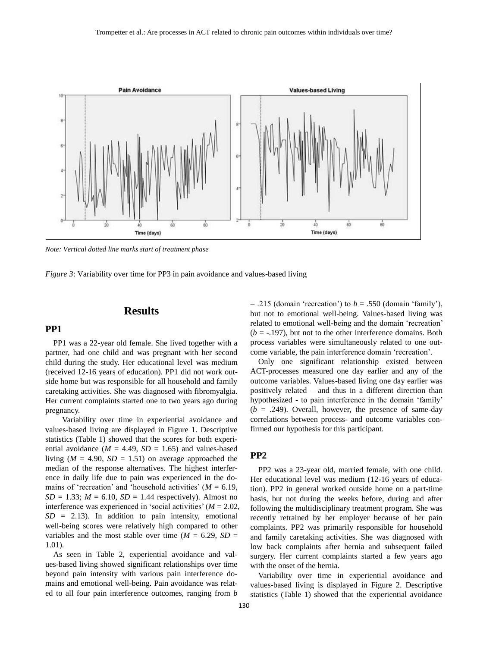

*Note: Vertical dotted line marks start of treatment phase*

*Figure 3*: Variability over time for PP3 in pain avoidance and values-based living

## **Results**

# **PP1**

PP1 was a 22-year old female. She lived together with a partner, had one child and was pregnant with her second child during the study. Her educational level was medium (received 12-16 years of education). PP1 did not work outside home but was responsible for all household and family caretaking activities. She was diagnosed with fibromyalgia. Her current complaints started one to two years ago during pregnancy.

Variability over time in experiential avoidance and values-based living are displayed in Figure 1. Descriptive statistics (Table 1) showed that the scores for both experiential avoidance  $(M = 4.49, SD = 1.65)$  and values-based living  $(M = 4.90, SD = 1.51)$  on average approached the median of the response alternatives. The highest interference in daily life due to pain was experienced in the domains of 'recreation' and 'household activities'  $(M = 6.19$ ,  $SD = 1.33$ ;  $M = 6.10$ ,  $SD = 1.44$  respectively). Almost no interference was experienced in 'social activities' (*M* = 2.02,  $SD = 2.13$ ). In addition to pain intensity, emotional well-being scores were relatively high compared to other variables and the most stable over time ( $M = 6.29$ ,  $SD =$ 1.01).

As seen in Table 2, experiential avoidance and values-based living showed significant relationships over time beyond pain intensity with various pain interference domains and emotional well-being. Pain avoidance was related to all four pain interference outcomes, ranging from *b*

 $= .215$  (domain 'recreation') to  $b = .550$  (domain 'family'), but not to emotional well-being. Values-based living was related to emotional well-being and the domain 'recreation'  $(b = -197)$ , but not to the other interference domains. Both process variables were simultaneously related to one outcome variable, the pain interference domain 'recreation'.

Only one significant relationship existed between ACT-processes measured one day earlier and any of the outcome variables. Values-based living one day earlier was positively related – and thus in a different direction than hypothesized - to pain interference in the domain 'family'  $(b = .249)$ . Overall, however, the presence of same-day correlations between process- and outcome variables confirmed our hypothesis for this participant.

# **PP2**

PP2 was a 23-year old, married female, with one child. Her educational level was medium (12-16 years of education). PP2 in general worked outside home on a part-time basis, but not during the weeks before, during and after following the multidisciplinary treatment program. She was recently retrained by her employer because of her pain complaints. PP2 was primarily responsible for household and family caretaking activities. She was diagnosed with low back complaints after hernia and subsequent failed surgery. Her current complaints started a few years ago with the onset of the hernia.

Variability over time in experiential avoidance and values-based living is displayed in Figure 2. Descriptive statistics (Table 1) showed that the experiential avoidance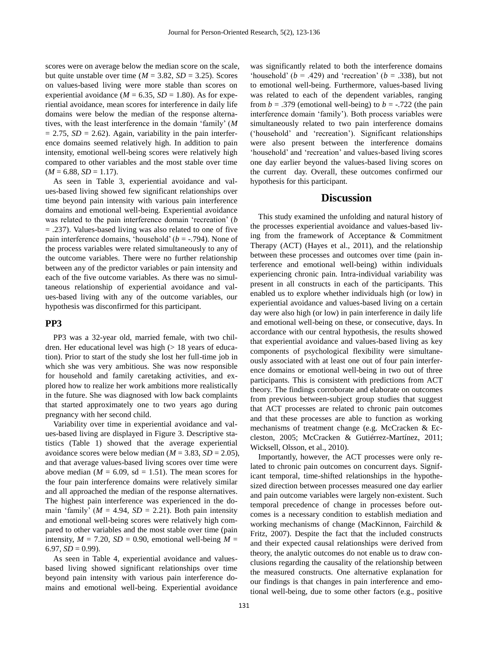scores were on average below the median score on the scale, but quite unstable over time ( $M = 3.82$ ,  $SD = 3.25$ ). Scores on values-based living were more stable than scores on experiential avoidance ( $M = 6.35$ ,  $SD = 1.80$ ). As for experiential avoidance, mean scores for interference in daily life domains were below the median of the response alternatives, with the least interference in the domain 'family' (*M*  $= 2.75$ , *SD*  $= 2.62$ ). Again, variability in the pain interference domains seemed relatively high. In addition to pain intensity, emotional well-being scores were relatively high compared to other variables and the most stable over time  $(M = 6.88, SD = 1.17).$ 

As seen in Table 3, experiential avoidance and values-based living showed few significant relationships over time beyond pain intensity with various pain interference domains and emotional well-being. Experiential avoidance was related to the pain interference domain 'recreation' (*b* = .237). Values-based living was also related to one of five pain interference domains, 'household' (*b* = -.794). None of the process variables were related simultaneously to any of the outcome variables. There were no further relationship between any of the predictor variables or pain intensity and each of the five outcome variables. As there was no simultaneous relationship of experiential avoidance and values-based living with any of the outcome variables, our hypothesis was disconfirmed for this participant.

# **PP3**

PP3 was a 32-year old, married female, with two children. Her educational level was high (> 18 years of education). Prior to start of the study she lost her full-time job in which she was very ambitious. She was now responsible for household and family caretaking activities, and explored how to realize her work ambitions more realistically in the future. She was diagnosed with low back complaints that started approximately one to two years ago during pregnancy with her second child.

Variability over time in experiential avoidance and values-based living are displayed in Figure 3. Descriptive statistics (Table 1) showed that the average experiential avoidance scores were below median  $(M = 3.83, SD = 2.05)$ , and that average values-based living scores over time were above median ( $M = 6.09$ , sd = 1.51). The mean scores for the four pain interference domains were relatively similar and all approached the median of the response alternatives. The highest pain interference was experienced in the domain 'family' ( $M = 4.94$ ,  $SD = 2.21$ ). Both pain intensity and emotional well-being scores were relatively high compared to other variables and the most stable over time (pain intensity,  $M = 7.20$ ,  $SD = 0.90$ , emotional well-being  $M =$  $6.97, SD = 0.99$ ).

As seen in Table 4, experiential avoidance and valuesbased living showed significant relationships over time beyond pain intensity with various pain interference domains and emotional well-being. Experiential avoidance

was significantly related to both the interference domains 'household' ( $b = .429$ ) and 'recreation' ( $b = .338$ ), but not to emotional well-being. Furthermore, values-based living was related to each of the dependent variables, ranging from  $b = .379$  (emotional well-being) to  $b = .722$  (the pain interference domain 'family'). Both process variables were simultaneously related to two pain interference domains ('household' and 'recreation'). Significant relationships were also present between the interference domains 'household' and 'recreation' and values-based living scores one day earlier beyond the values-based living scores on the current day. Overall, these outcomes confirmed our hypothesis for this participant.

# **Discussion**

This study examined the unfolding and natural history of the processes experiential avoidance and values-based living from the framework of Acceptance & Commitment Therapy (ACT) (Hayes et al., 2011), and the relationship between these processes and outcomes over time (pain interference and emotional well-being) within individuals experiencing chronic pain. Intra-individual variability was present in all constructs in each of the participants. This enabled us to explore whether individuals high (or low) in experiential avoidance and values-based living on a certain day were also high (or low) in pain interference in daily life and emotional well-being on these, or consecutive, days. In accordance with our central hypothesis, the results showed that experiential avoidance and values-based living as key components of psychological flexibility were simultaneously associated with at least one out of four pain interference domains or emotional well-being in two out of three participants. This is consistent with predictions from ACT theory. The findings corroborate and elaborate on outcomes from previous between-subject group studies that suggest that ACT processes are related to chronic pain outcomes and that these processes are able to function as working mechanisms of treatment change (e.g. McCracken & Eccleston, 2005; McCracken & Gutiérrez-Martínez, 2011; Wicksell, Olsson, et al., 2010).

Importantly, however, the ACT processes were only related to chronic pain outcomes on concurrent days. Significant temporal, time-shifted relationships in the hypothesized direction between processes measured one day earlier and pain outcome variables were largely non-existent. Such temporal precedence of change in processes before outcomes is a necessary condition to establish mediation and working mechanisms of change (MacKinnon, Fairchild & Fritz, 2007). Despite the fact that the included constructs and their expected causal relationships were derived from theory, the analytic outcomes do not enable us to draw conclusions regarding the causality of the relationship between the measured constructs. One alternative explanation for our findings is that changes in pain interference and emotional well-being, due to some other factors (e.g., positive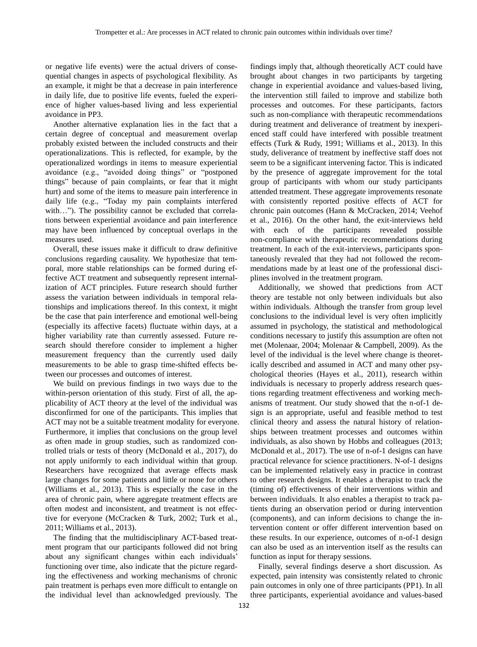or negative life events) were the actual drivers of consequential changes in aspects of psychological flexibility. As an example, it might be that a decrease in pain interference in daily life, due to positive life events, fueled the experience of higher values-based living and less experiential avoidance in PP3.

Another alternative explanation lies in the fact that a certain degree of conceptual and measurement overlap probably existed between the included constructs and their operationalizations. This is reflected, for example, by the operationalized wordings in items to measure experiential avoidance (e.g., "avoided doing things" or "postponed things" because of pain complaints, or fear that it might hurt) and some of the items to measure pain interference in daily life (e.g., "Today my pain complaints interfered with…"). The possibility cannot be excluded that correlations between experiential avoidance and pain interference may have been influenced by conceptual overlaps in the measures used.

Overall, these issues make it difficult to draw definitive conclusions regarding causality. We hypothesize that temporal, more stable relationships can be formed during effective ACT treatment and subsequently represent internalization of ACT principles. Future research should further assess the variation between individuals in temporal relationships and implications thereof. In this context, it might be the case that pain interference and emotional well-being (especially its affective facets) fluctuate within days, at a higher variability rate than currently assessed. Future research should therefore consider to implement a higher measurement frequency than the currently used daily measurements to be able to grasp time-shifted effects between our processes and outcomes of interest.

We build on previous findings in two ways due to the within-person orientation of this study. First of all, the applicability of ACT theory at the level of the individual was disconfirmed for one of the participants. This implies that ACT may not be a suitable treatment modality for everyone. Furthermore, it implies that conclusions on the group level as often made in group studies, such as randomized controlled trials or tests of theory (McDonald et al., 2017), do not apply uniformly to each individual within that group. Researchers have recognized that average effects mask large changes for some patients and little or none for others (Williams et al., 2013). This is especially the case in the area of chronic pain, where aggregate treatment effects are often modest and inconsistent, and treatment is not effective for everyone (McCracken & Turk, 2002; Turk et al., 2011; Williams et al., 2013).

The finding that the multidisciplinary ACT-based treatment program that our participants followed did not bring about any significant changes within each individuals' functioning over time, also indicate that the picture regarding the effectiveness and working mechanisms of chronic pain treatment is perhaps even more difficult to entangle on the individual level than acknowledged previously. The findings imply that, although theoretically ACT could have brought about changes in two participants by targeting change in experiential avoidance and values-based living, the intervention still failed to improve and stabilize both processes and outcomes. For these participants, factors such as non-compliance with therapeutic recommendations during treatment and deliverance of treatment by inexperienced staff could have interfered with possible treatment effects (Turk & Rudy, 1991; Williams et al., 2013). In this study, deliverance of treatment by ineffective staff does not seem to be a significant intervening factor. This is indicated by the presence of aggregate improvement for the total group of participants with whom our study participants attended treatment. These aggregate improvements resonate with consistently reported positive effects of ACT for chronic pain outcomes (Hann & McCracken, 2014; Veehof et al., 2016). On the other hand, the exit-interviews held with each of the participants revealed possible non-compliance with therapeutic recommendations during treatment. In each of the exit-interviews, participants spontaneously revealed that they had not followed the recommendations made by at least one of the professional disciplines involved in the treatment program.

Additionally, we showed that predictions from ACT theory are testable not only between individuals but also within individuals. Although the transfer from group level conclusions to the individual level is very often implicitly assumed in psychology, the statistical and methodological conditions necessary to justify this assumption are often not met (Molenaar, 2004; Molenaar & Campbell, 2009). As the level of the individual is the level where change is theoretically described and assumed in ACT and many other psychological theories (Hayes et al., 2011), research within individuals is necessary to properly address research questions regarding treatment effectiveness and working mechanisms of treatment. Our study showed that the n-of-1 design is an appropriate, useful and feasible method to test clinical theory and assess the natural history of relationships between treatment processes and outcomes within individuals, as also shown by Hobbs and colleagues (2013; McDonald et al., 2017). The use of n-of-1 designs can have practical relevance for science practitioners. N-of-1 designs can be implemented relatively easy in practice in contrast to other research designs. It enables a therapist to track the (timing of) effectiveness of their interventions within and between individuals. It also enables a therapist to track patients during an observation period or during intervention (components), and can inform decisions to change the intervention content or offer different intervention based on these results. In our experience, outcomes of n-of-1 design can also be used as an intervention itself as the results can function as input for therapy sessions.

Finally, several findings deserve a short discussion. As expected, pain intensity was consistently related to chronic pain outcomes in only one of three participants (PP1). In all three participants, experiential avoidance and values-based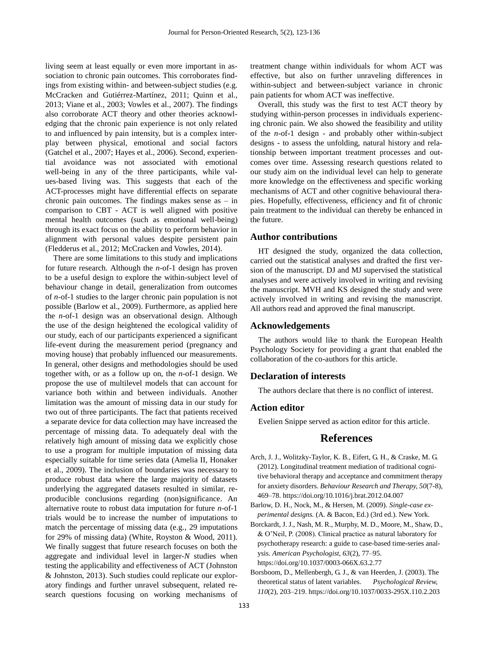living seem at least equally or even more important in association to chronic pain outcomes. This corroborates findings from existing within- and between-subject studies (e.g. McCracken and Gutiérrez-Martínez, 2011; Quinn et al., 2013; Viane et al., 2003; Vowles et al., 2007). The findings also corroborate ACT theory and other theories acknowledging that the chronic pain experience is not only related to and influenced by pain intensity, but is a complex interplay between physical, emotional and social factors (Gatchel et al., 2007; Hayes et al., 2006). Second, experiential avoidance was not associated with emotional well-being in any of the three participants, while values-based living was. This suggests that each of the ACT-processes might have differential effects on separate chronic pain outcomes. The findings makes sense as  $-$  in comparison to CBT - ACT is well aligned with positive mental health outcomes (such as emotional well-being) through its exact focus on the ability to perform behavior in alignment with personal values despite persistent pain (Fledderus et al., 2012; McCracken and Vowles, 2014).

There are some limitations to this study and implications for future research. Although the *n*-of-1 design has proven to be a useful design to explore the within-subject level of behaviour change in detail, generalization from outcomes of *n-*of-1 studies to the larger chronic pain population is not possible (Barlow et al., 2009). Furthermore, as applied here the *n*-of-1 design was an observational design. Although the use of the design heightened the ecological validity of our study, each of our participants experienced a significant life-event during the measurement period (pregnancy and moving house) that probably influenced our measurements. In general, other designs and methodologies should be used together with, or as a follow up on, the *n*-of-1 design. We propose the use of multilevel models that can account for variance both within and between individuals. Another limitation was the amount of missing data in our study for two out of three participants. The fact that patients received a separate device for data collection may have increased the percentage of missing data. To adequately deal with the relatively high amount of missing data we explicitly chose to use a program for multiple imputation of missing data especially suitable for time series data (Amelia II, Honaker et al., 2009). The inclusion of boundaries was necessary to produce robust data where the large majority of datasets underlying the aggregated datasets resulted in similar, reproducible conclusions regarding (non)significance. An alternative route to robust data imputation for future *n*-of-1 trials would be to increase the number of imputations to match the percentage of missing data (e.g., 29 imputations for 29% of missing data) (White, Royston & Wood, 2011). We finally suggest that future research focuses on both the aggregate and individual level in larger-*N* studies when testing the applicability and effectiveness of ACT (Johnston & Johnston, 2013). Such studies could replicate our exploratory findings and further unravel subsequent, related research questions focusing on working mechanisms of

treatment change within individuals for whom ACT was effective, but also on further unraveling differences in within-subject and between-subject variance in chronic pain patients for whom ACT was ineffective.

Overall, this study was the first to test ACT theory by studying within-person processes in individuals experiencing chronic pain. We also showed the feasibility and utility of the *n*-of-1 design - and probably other within-subject designs - to assess the unfolding, natural history and relationship between important treatment processes and outcomes over time. Assessing research questions related to our study aim on the individual level can help to generate more knowledge on the effectiveness and specific working mechanisms of ACT and other cognitive behavioural therapies. Hopefully, effectiveness, efficiency and fit of chronic pain treatment to the individual can thereby be enhanced in the future.

## **Author contributions**

HT designed the study, organized the data collection, carried out the statistical analyses and drafted the first version of the manuscript. DJ and MJ supervised the statistical analyses and were actively involved in writing and revising the manuscript. MVH and KS designed the study and were actively involved in writing and revising the manuscript. All authors read and approved the final manuscript.

## **Acknowledgements**

The authors would like to thank the European Health Psychology Society for providing a grant that enabled the collaboration of the co-authors for this article.

# **Declaration of interests**

The authors declare that there is no conflict of interest.

# **Action editor**

Evelien Snippe served as action editor for this article.

# **References**

- Arch, J. J., Wolitzky-Taylor, K. B., Eifert, G. H., & Craske, M. G. (2012). Longitudinal treatment mediation of traditional cognitive behavioral therapy and acceptance and commitment therapy for anxiety disorders. *Behaviour Research and Therapy, 50*(7-8), 469–78. https://doi.org/10.1016/j.brat.2012.04.007
- Barlow, D. H., Nock, M., & Hersen, M. (2009). *Single-case experimental designs.* (A. & Bacon, Ed.) (3rd ed.). New York.
- Borckardt, J. J., Nash, M. R., Murphy, M. D., Moore, M., Shaw, D., & O'Neil, P. (2008). Clinical practice as natural laboratory for psychotherapy research: a guide to case-based time-series analysis. *American Psychologist, 63*(2), 77–95. https://doi.org/10.1037/0003-066X.63.2.77
- Borsboom, D., Mellenbergh, G. J., & van Heerden, J. (2003). The theoretical status of latent variables. *Psychological Review, 110*(2), 203–219. https://doi.org/10.1037/0033-295X.110.2.203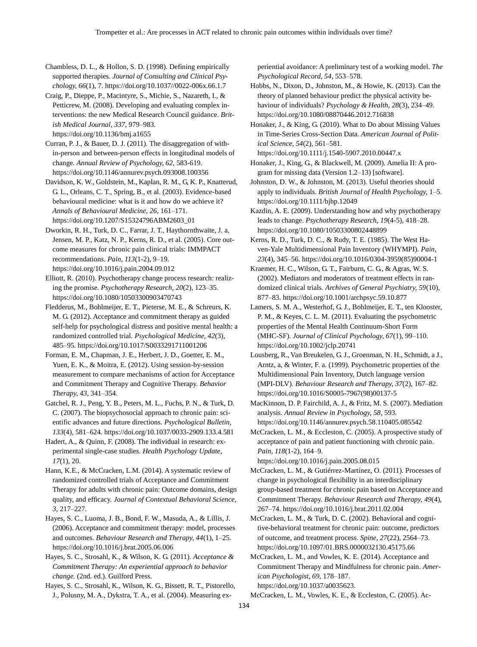Chambless, D. L., & Hollon, S. D. (1998). Defining empirically supported therapies. *Journal of Consulting and Clinical Psychology, 66*(1), 7. https://doi.org/10.1037//0022-006x.66.1.7

Craig, P., Dieppe, P., Macintyre, S., Michie, S., Nazareth, I., & Petticrew, M. (2008). Developing and evaluating complex interventions: the new Medical Research Council guidance. *British Medical Journal, 337*, 979–983. https://doi.org/10.1136/bmj.a1655

Curran, P. J., & Bauer, D. J. (2011). The disaggregation of within-person and between-person effects in longitudinal models of change. *Annual Review of Psychology, 62*, 583-619. https://doi.org/10.1146/annurev.psych.093008.100356

Davidson, K. W., Goldstein, M., Kaplan, R. M., G, K. P., Knatterud, G. L., Orleans, C. T., Spring, B., et al. (2003). Evidence-based behavioural medicine: what is it and how do we achieve it? *Annals of Behavioural Medicine, 26*, 161–171. https://doi.org/10.1207/S15324796ABM2603\_01

Dworkin, R. H., Turk, D. C., Farrar, J. T., Haythornthwaite, J. a, Jensen, M. P., Katz, N. P., Kerns, R. D., et al. (2005). Core outcome measures for chronic pain clinical trials: IMMPACT recommendations. *Pain, 113*(1-2), 9–19. https://doi.org/10.1016/j.pain.2004.09.012

Elliott, R. (2010). Psychotherapy change process research: realizing the promise. *Psychotherapy Research, 20*(2), 123–35. https://doi.org/10.1080/10503300903470743

Fledderus, M., Bohlmeijer, E. T., Pieterse, M. E., & Schreurs, K. M. G. (2012). Acceptance and commitment therapy as guided self-help for psychological distress and positive mental health: a randomized controlled trial. *Psychological Medicine, 42*(3), 485–95. https://doi.org/10.1017/S0033291711001206

Forman, E. M., Chapman, J. E., Herbert, J. D., Goetter, E. M., Yuen, E. K., & Moitra, E. (2012). Using session-by-session measurement to compare mechanisms of action for Acceptance and Commitment Therapy and Cognitive Therapy. *Behavior Therapy, 43,* 341–354.

Gatchel, R. J., Peng, Y. B., Peters, M. L., Fuchs, P. N., & Turk, D. C. (2007). The biopsychosocial approach to chronic pain: scientific advances and future directions. *Psychological Bulletin, 133*(4), 581–624. https://doi.org/10.1037/0033-2909.133.4.581

Hadert, A., & Quinn, F. (2008). The individual in research: experimental single-case studies. *Health Psychology Update, 17*(1), 20.

Hann, K.E., & McCracken, L.M. (2014). A systematic review of randomized controlled trials of Acceptance and Commitment Therapy for adults with chronic pain: Outcome domains, design quality, and efficacy. *Journal of Contextual Behavioral Science, 3,* 217–227.

Hayes, S. C., Luoma, J. B., Bond, F. W., Masuda, A., & Lillis, J. (2006). Acceptance and commitment therapy: model, processes and outcomes. *Behaviour Research and Therapy, 44*(1), 1–25. https://doi.org/10.1016/j.brat.2005.06.006

Hayes, S. C., Strosahl, K., & Wilson, K. G. (2011). *Acceptance & Commitment Therapy: An experiential approach to behavior change.* (2nd. ed.). Guilford Press.

Hayes, S. C., Strosahl, K., Wilson, K. G., Bissett, R. T., Pistorello, J., Polusny, M. A., Dykstra, T. A., et al. (2004). Measuring experiential avoidance: A preliminary test of a working model. *The Psychological Record, 54*, 553–578.

Hobbs, N., Dixon, D., Johnston, M., & Howie, K. (2013). Can the theory of planned behaviour predict the physical activity behaviour of individuals? *Psychology & Health, 28*(3), 234–49. https://doi.org/10.1080/08870446.2012.716838

Honaker, J., & King, G. (2010). What to Do about Missing Values in Time-Series Cross-Section Data. *American Journal of Political Science, 54*(2), 561–581.

https://doi.org/10.1111/j.1540-5907.2010.00447.x

Honaker, J., King, G., & Blackwell, M. (2009). Amelia II: A program for missing data (Version 1.2–13) [software].

Johnston, D. W., & Johnston, M. (2013). Useful theories should apply to individuals. *British Journal of Health Psychology,* 1–5. https://doi.org/10.1111/bjhp.12049

Kazdin, A. E. (2009). Understanding how and why psychotherapy leads to change. *Psychotherapy Research, 19*(4-5), 418–28. https://doi.org/10.1080/10503300802448899

Kerns, R. D., Turk, D. C., & Rudy, T. E. (1985). The West Haven-Yale Multidimensional Pain Inventory (WHYMPI). *Pain, 23*(4), 345–56. https://doi.org/10.1016/0304-3959(85)90004-1

Kraemer, H. C., Wilson, G. T., Fairburn, C. G., & Agras, W. S. (2002). Mediators and moderators of treatment effects in randomized clinical trials. *Archives of General Psychiatry, 59*(10), 877–83. https://doi.org/10.1001/archpsyc.59.10.877

Lamers, S. M. A., Westerhof, G. J., Bohlmeijer, E. T., ten Klooster, P. M., & Keyes, C. L. M. (2011). Evaluating the psychometric properties of the Mental Health Continuum-Short Form (MHC-SF). *Journal of Clinical Psychology, 67*(1), 99–110. https://doi.org/10.1002/jclp.20741

Lousberg, R., Van Breukelen, G. J., Groenman, N. H., Schmidt, a J., Arntz, a, & Winter, F. a. (1999). Psychometric properties of the Multidimensional Pain Inventory, Dutch language version (MPI-DLV). *Behaviour Research and Therapy, 37*(2), 167–82. https://doi.org/10.1016/S0005-7967(98)00137-5

MacKinnon, D. P. Fairchild, A. J., & Fritz, M. S. (2007). Mediation analysis. *Annual Review in Psychology, 58*, 593. https://doi.org/10.1146/annurev.psych.58.110405.085542

McCracken, L. M., & Eccleston, C. (2005). A prospective study of acceptance of pain and patient functioning with chronic pain. *Pain, 118*(1-2), 164–9.

https://doi.org/10.1016/j.pain.2005.08.015

McCracken, L. M., & Gutiérrez-Martínez, O. (2011). Processes of change in psychological flexibility in an interdisciplinary group-based treatment for chronic pain based on Acceptance and Commitment Therapy. *Behaviour Research and Therapy, 49*(4), 267–74. https://doi.org/10.1016/j.brat.2011.02.004

McCracken, L. M., & Turk, D. C. (2002). Behavioral and cognitive-behavioral treatment for chronic pain: outcome, predictors of outcome, and treatment process. *Spine*, *27*(22), 2564–73. https://doi.org/10.1097/01.BRS.0000032130.45175.66

McCracken, L. M., and Vowles, K. E. (2014). Acceptance and Commitment Therapy and Mindfulness for chronic pain. *American Psychologist, 69*, 178–187. https://doi.org/10.1037/a0035623.

McCracken, L. M., Vowles, K. E., & Eccleston, C. (2005). Ac-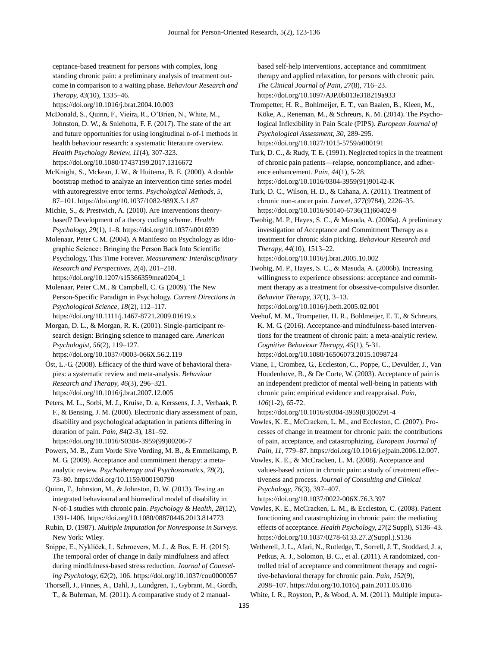ceptance-based treatment for persons with complex, long standing chronic pain: a preliminary analysis of treatment outcome in comparison to a waiting phase. *Behaviour Research and Therapy, 43*(10), 1335–46.

https://doi.org/10.1016/j.brat.2004.10.003

McDonald, S., Quinn, F., Vieira, R., O'Brien, N., White, M., Johnston, D. W., & Sniehotta, F. F. (2017). The state of the art and future opportunities for using longitudinal n-of-1 methods in health behaviour research: a systematic literature overview. *Health Psychology Review, 11*(4), 307-323. https://doi.org/10.1080/17437199.2017.1316672

McKnight, S., Mckean, J. W., & Huitema, B. E. (2000). A double bootstrap method to analyze an intervention time series model with autoregressive error terms. *Psychological Methods, 5*, 87–101. https://doi.org/10.1037/1082-989X.5.1.87

Michie, S., & Prestwich, A. (2010). Are interventions theorybased? Development of a theory coding scheme. *Health Psychology, 29*(1), 1–8. https://doi.org/10.1037/a0016939

Molenaar, Peter C M. (2004). A Manifesto on Psychology as Idiographic Science : Bringing the Person Back Into Scientific Psychology, This Time Forever. *Measurement: Interdisciplinary Research and Perspectives, 2*(4), 201–218. https://doi.org/10.1207/s15366359mea0204\_1

Molenaar, Peter C.M., & Campbell, C. G. (2009). The New Person-Specific Paradigm in Psychology. *Current Directions in Psychological Science, 18*(2), 112–117. https://doi.org/10.1111/j.1467-8721.2009.01619.x

Morgan, D. L., & Morgan, R. K. (2001). Single-participant research design: Bringing science to managed care. *American Psychologist, 56*(2), 119–127.

https://doi.org/10.1037//0003-066X.56.2.119

Öst, L.-G. (2008). Efficacy of the third wave of behavioral therapies: a systematic review and meta-analysis. *Behaviour Research and Therapy, 46*(3), 296–321. https://doi.org/10.1016/j.brat.2007.12.005

Peters, M. L., Sorbi, M. J., Kruise, D. a, Kerssens, J. J., Verhaak, P. F., & Bensing, J. M. (2000). Electronic diary assessment of pain, disability and psychological adaptation in patients differing in duration of pain. *Pain, 84*(2-3), 181–92. https://doi.org/10.1016/S0304-3959(99)00206-7

Powers, M. B., Zum Vorde Sive Vording, M. B., & Emmelkamp, P. M. G. (2009). Acceptance and commitment therapy: a metaanalytic review. *Psychotherapy and Psychosomatics, 78*(2), 73–80. https://doi.org/10.1159/000190790

Quinn, F., Johnston, M., & Johnston, D. W. (2013). Testing an integrated behavioural and biomedical model of disability in N-of-1 studies with chronic pain. *Psychology & Health, 28*(12), 1391-1406. https://doi.org/10.1080/08870446.2013.814773

Rubin, D. (1987). *Multiple Imputation for Nonresponse in Surveys*. New York: Wiley.

Snippe, E., Nyklíček, I., Schroevers, M. J., & Bos, E. H. (2015). The temporal order of change in daily mindfulness and affect during mindfulness-based stress reduction. *Journal of Counseling Psychology, 62*(2), 106. https://doi.org/10.1037/cou0000057

Thorsell, J., Finnes, A., Dahl, J., Lundgren, T., Gybrant, M., Gordh, T., & Buhrman, M. (2011). A comparative study of 2 manualbased self-help interventions, acceptance and commitment therapy and applied relaxation, for persons with chronic pain. *The Clinical Journal of Pain, 27*(8), 716–23. https://doi.org/10.1097/AJP.0b013e318219a933

Trompetter, H. R., Bohlmeijer, E. T., van Baalen, B., Kleen, M., Köke, A., Reneman, M., & Schreurs, K. M. (2014). The Psychological Inflexibility in Pain Scale (PIPS). *European Journal of Psychological Assessment, 30,* 289-295. https://doi.org/10.1027/1015-5759/a000191

Turk, D. C., & Rudy, T. E. (1991). Neglected topics in the treatment of chronic pain patients—relapse, noncompliance, and adherence enhancement. *Pain, 44*(1), 5-28. https://doi.org/10.1016/0304-3959(91)90142-K

Turk, D. C., Wilson, H. D., & Cahana, A. (2011). Treatment of chronic non-cancer pain. *Lancet, 377*(9784), 2226–35. https://doi.org/10.1016/S0140-6736(11)60402-9

Twohig, M. P., Hayes, S. C., & Masuda, A. (2006a). A preliminary investigation of Acceptance and Commitment Therapy as a treatment for chronic skin picking. *Behaviour Research and Therapy, 44*(10), 1513–22.

https://doi.org/10.1016/j.brat.2005.10.002

Twohig, M. P., Hayes, S. C., & Masuda, A. (2006b). Increasing willingness to experience obsessions: acceptance and commitment therapy as a treatment for obsessive-compulsive disorder. *Behavior Therapy, 37*(1), 3–13.

https://doi.org/10.1016/j.beth.2005.02.001

Veehof, M. M., Trompetter, H. R., Bohlmeijer, E. T., & Schreurs, K. M. G. (2016). Acceptance-and mindfulness-based interventions for the treatment of chronic pain: a meta-analytic review. *Cognitive Behaviour Therapy, 45*(1), 5-31. https://doi.org/10.1080/16506073.2015.1098724

Viane, I., Crombez, G., Eccleston, C., Poppe, C., Devulder, J., Van Houdenhove, B., & De Corte, W. (2003). Acceptance of pain is an independent predictor of mental well-being in patients with chronic pain: empirical evidence and reappraisal. *Pain, 106*(1-2), 65-72.

https://doi.org/10.1016/s0304-3959(03)00291-4

Vowles, K. E., McCracken, L. M., and Eccleston, C. (2007). Processes of change in treatment for chronic pain: the contributions of pain, acceptance, and catastrophizing. *European Journal of Pain, 11*, 779–87. https://doi.org/10.1016/j.ejpain.2006.12.007.

Vowles, K. E., & McCracken, L. M. (2008). Acceptance and values-based action in chronic pain: a study of treatment effectiveness and process. *Journal of Consulting and Clinical Psychology, 76*(3), 397–407.

https://doi.org/10.1037/0022-006X.76.3.397

Vowles, K. E., McCracken, L. M., & Eccleston, C. (2008). Patient functioning and catastrophizing in chronic pain: the mediating effects of acceptance. *Health Psychology, 27*(2 Suppl), S136–43. https://doi.org/10.1037/0278-6133.27.2(Suppl.).S136

Wetherell, J. L., Afari, N., Rutledge, T., Sorrell, J. T., Stoddard, J. a, Petkus, A. J., Solomon, B. C., et al. (2011). A randomized, controlled trial of acceptance and commitment therapy and cognitive-behavioral therapy for chronic pain. *Pain, 152*(9), 2098–107. https://doi.org/10.1016/j.pain.2011.05.016

White, I. R., Royston, P., & Wood, A. M. (2011). Multiple imputa-